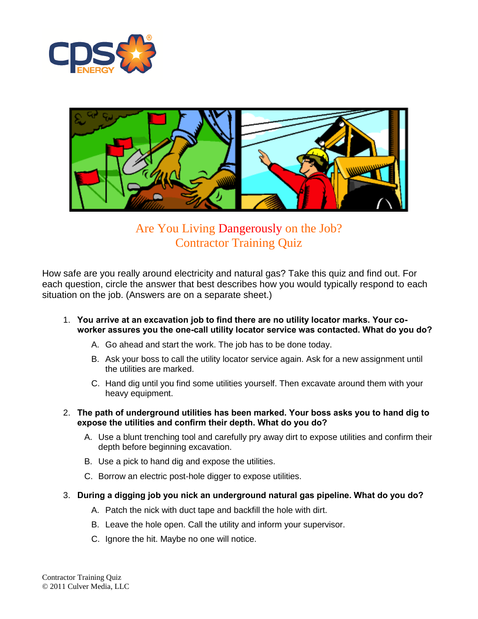



# Are You Living Dangerously on the Job? Contractor Training Quiz

How safe are you really around electricity and natural gas? Take this quiz and find out. For each question, circle the answer that best describes how you would typically respond to each situation on the job. (Answers are on a separate sheet.)

- 1. **You arrive at an excavation job to find there are no utility locator marks. Your coworker assures you the one-call utility locator service was contacted. What do you do?**
	- A. Go ahead and start the work. The job has to be done today.
	- B. Ask your boss to call the utility locator service again. Ask for a new assignment until the utilities are marked.
	- C. Hand dig until you find some utilities yourself. Then excavate around them with your heavy equipment.
- 2. **The path of underground utilities has been marked. Your boss asks you to hand dig to expose the utilities and confirm their depth. What do you do?**
	- A. Use a blunt trenching tool and carefully pry away dirt to expose utilities and confirm their depth before beginning excavation.
	- B. Use a pick to hand dig and expose the utilities.
	- C. Borrow an electric post-hole digger to expose utilities.
- 3. **During a digging job you nick an underground natural gas pipeline. What do you do?**
	- A. Patch the nick with duct tape and backfill the hole with dirt.
	- B. Leave the hole open. Call the utility and inform your supervisor.
	- C. Ignore the hit. Maybe no one will notice.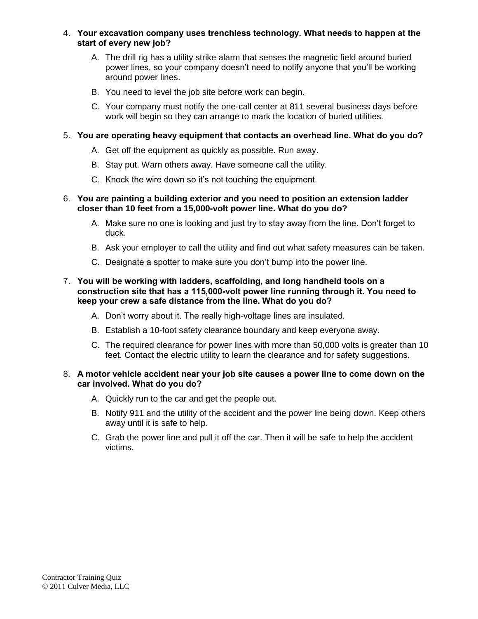### 4. **Your excavation company uses trenchless technology. What needs to happen at the start of every new job?**

- A. The drill rig has a utility strike alarm that senses the magnetic field around buried power lines, so your company doesn't need to notify anyone that you'll be working around power lines.
- B. You need to level the job site before work can begin.
- C. Your company must notify the one-call center at 811 several business days before work will begin so they can arrange to mark the location of buried utilities.

## 5. **You are operating heavy equipment that contacts an overhead line. What do you do?**

- A. Get off the equipment as quickly as possible. Run away.
- B. Stay put. Warn others away. Have someone call the utility.
- C. Knock the wire down so it's not touching the equipment.

### 6. **You are painting a building exterior and you need to position an extension ladder closer than 10 feet from a 15,000-volt power line. What do you do?**

- A. Make sure no one is looking and just try to stay away from the line. Don't forget to duck.
- B. Ask your employer to call the utility and find out what safety measures can be taken.
- C. Designate a spotter to make sure you don't bump into the power line.

### 7. **You will be working with ladders, scaffolding, and long handheld tools on a construction site that has a 115,000-volt power line running through it. You need to keep your crew a safe distance from the line. What do you do?**

- A. Don't worry about it. The really high-voltage lines are insulated.
- B. Establish a 10-foot safety clearance boundary and keep everyone away.
- C. The required clearance for power lines with more than 50,000 volts is greater than 10 feet. Contact the electric utility to learn the clearance and for safety suggestions.

### 8. **A motor vehicle accident near your job site causes a power line to come down on the car involved. What do you do?**

- A. Quickly run to the car and get the people out.
- B. Notify 911 and the utility of the accident and the power line being down. Keep others away until it is safe to help.
- C. Grab the power line and pull it off the car. Then it will be safe to help the accident victims.